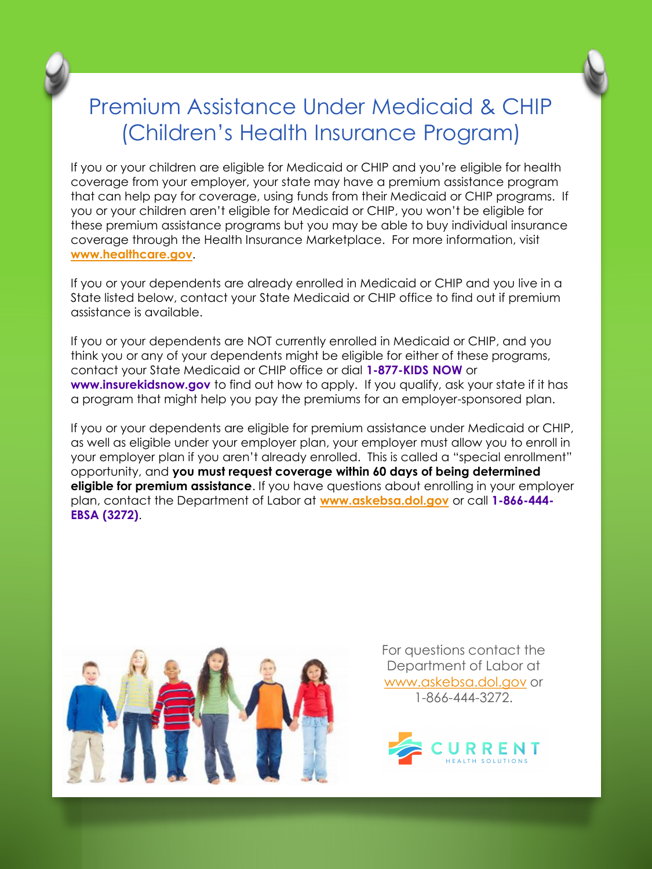

## Premium Assistance Under Medicaid & CHIP (Children's Health Insurance Program)

If you or your children are eligible for Medicaid or CHIP and you're eligible for health coverage from your employer, your state may have a premium assistance program that can help pay for coverage, using funds from their Medicaid or CHIP programs. If you or your children aren't eligible for Medicaid or CHIP, you won't be eligible for these premium assistance programs but you may be able to buy individual insurance coverage through the Health Insurance Marketplace. For more information, visit **[www.healthcare.gov](http://www.healthcare.gov/)**.

If you or your dependents are already enrolled in Medicaid or CHIP and you live in a State listed below, contact your State Medicaid or CHIP office to find out if premium assistance is available.

If you or your dependents are NOT currently enrolled in Medicaid or CHIP, and you think you or any of your dependents might be eligible for either of these programs, contact your State Medicaid or CHIP office or dial **1-877-KIDS NOW** or **www.insurekidsnow.gov** to find out how to apply. If you qualify, ask your state if it has a program that might help you pay the premiums for an employer-sponsored plan.

If you or your dependents are eligible for premium assistance under Medicaid or CHIP, as well as eligible under your employer plan, your employer must allow you to enroll in your employer plan if you aren't already enrolled. This is called a "special enrollment" opportunity, and **you must request coverage within 60 days of being determined eligible for premium assistance**. If you have questions about enrolling in your employer plan, contact the Department of Labor at **[www.askebsa.dol.gov](http://www.askebsa.dol.gov/)** or call **1-866-444- EBSA (3272)**.



For questions contact the Department of Labor at [www.askebsa.dol.gov](http://www.askebsa.dol.gov/) or 1-866-444-3272.

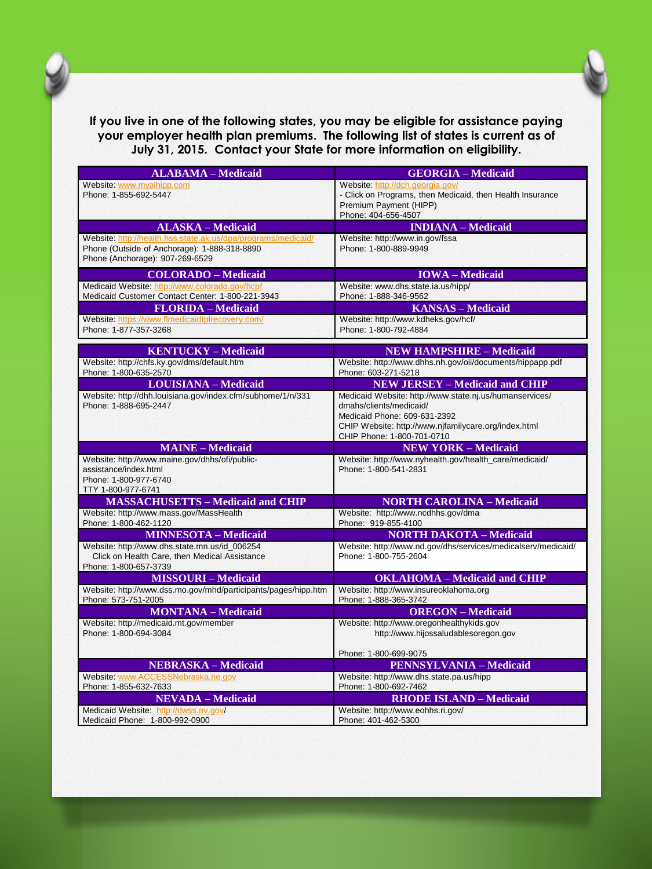

**If you live in one of the following states, you may be eligible for assistance paying your employer health plan premiums. The following list of states is current as of July 31, 2015. Contact your State for more information on eligibility.**

| <b>ALABAMA - Medicaid</b>                                                                                                                        | <b>GEORGIA - Medicaid</b>                                                                                                                                                                                |
|--------------------------------------------------------------------------------------------------------------------------------------------------|----------------------------------------------------------------------------------------------------------------------------------------------------------------------------------------------------------|
| Website: www.myalhipp.com<br>Phone: 1-855-692-5447                                                                                               | Website: http://dch.georgia.gov/<br>- Click on Programs, then Medicaid, then Health Insurance<br>Premium Payment (HIPP)<br>Phone: 404-656-4507                                                           |
| <b>ALASKA - Medicaid</b>                                                                                                                         | <b>INDIANA</b> - Medicaid                                                                                                                                                                                |
| Website: http://health.hss.state.ak.us/dpa/programs/medicaid/<br>Phone (Outside of Anchorage): 1-888-318-8890<br>Phone (Anchorage): 907-269-6529 | Website: http://www.in.gov/fssa<br>Phone: 1-800-889-9949                                                                                                                                                 |
| <b>COLORADO - Medicaid</b>                                                                                                                       | <b>IOWA</b> – Medicaid                                                                                                                                                                                   |
| Medicaid Website: http://www.colorado.gov/hcpf<br>Medicaid Customer Contact Center: 1-800-221-3943                                               | Website: www.dhs.state.ia.us/hipp/<br>Phone: 1-888-346-9562                                                                                                                                              |
| <b>FLORIDA</b> – Medicaid                                                                                                                        | <b>KANSAS - Medicaid</b>                                                                                                                                                                                 |
| Website: https://www.flmedicaidtplrecovery.com/<br>Phone: 1-877-357-3268                                                                         | Website: http://www.kdheks.gov/hcf/<br>Phone: 1-800-792-4884                                                                                                                                             |
| <b>KENTUCKY-Medicaid</b>                                                                                                                         | <b>NEW HAMPSHIRE - Medicaid</b>                                                                                                                                                                          |
| Website: http://chfs.ky.gov/dms/default.htm<br>Phone: 1-800-635-2570                                                                             | Website: http://www.dhhs.nh.gov/oii/documents/hippapp.pdf<br>Phone: 603-271-5218                                                                                                                         |
| <b>LOUISIANA - Medicaid</b>                                                                                                                      | <b>NEW JERSEY - Medicaid and CHIP</b>                                                                                                                                                                    |
| Website: http://dhh.louisiana.gov/index.cfm/subhome/1/n/331<br>Phone: 1-888-695-2447                                                             | Medicaid Website: http://www.state.nj.us/humanservices/<br>dmahs/clients/medicaid/<br>Medicaid Phone: 609-631-2392<br>CHIP Website: http://www.njfamilycare.org/index.html<br>CHIP Phone: 1-800-701-0710 |
| <b>MAINE - Medicaid</b>                                                                                                                          | <b>NEW YORK - Medicaid</b>                                                                                                                                                                               |
| Website: http://www.maine.gov/dhhs/ofi/public-<br>assistance/index.html<br>Phone: 1-800-977-6740<br>TTY 1-800-977-6741                           | Website: http://www.nyhealth.gov/health_care/medicaid/<br>Phone: 1-800-541-2831                                                                                                                          |
| <b>MASSACHUSETTS - Medicaid and CHIP</b>                                                                                                         | <b>NORTH CAROLINA - Medicaid</b>                                                                                                                                                                         |
| Website: http://www.mass.gov/MassHealth<br>Phone: 1-800-462-1120                                                                                 | Website: http://www.ncdhhs.gov/dma<br>Phone: 919-855-4100                                                                                                                                                |
| <b>MINNESOTA - Medicaid</b>                                                                                                                      | <b>NORTH DAKOTA - Medicaid</b>                                                                                                                                                                           |
| Website: http://www.dhs.state.mn.us/id_006254<br>Click on Health Care, then Medical Assistance<br>Phone: 1-800-657-3739                          | Website: http://www.nd.gov/dhs/services/medicalserv/medicaid/<br>Phone: 1-800-755-2604                                                                                                                   |
| <b>MISSOURI-Medicaid</b>                                                                                                                         | <b>OKLAHOMA</b> - Medicaid and CHIP                                                                                                                                                                      |
| Website: http://www.dss.mo.gov/mhd/participants/pages/hipp.htm<br>Phone: 573-751-2005                                                            | Website: http://www.insureoklahoma.org<br>Phone: 1-888-365-3742                                                                                                                                          |
| <b>MONTANA</b> - Medicaid                                                                                                                        | <b>OREGON-Medicaid</b>                                                                                                                                                                                   |
| Website: http://medicaid.mt.gov/member<br>Phone: 1-800-694-3084                                                                                  | Website: http://www.oregonhealthykids.gov<br>http://www.hijossaludablesoregon.gov                                                                                                                        |
|                                                                                                                                                  | Phone: 1-800-699-9075                                                                                                                                                                                    |
| <b>NEBRASKA - Medicaid</b>                                                                                                                       | <b>PENNSYLVANIA - Medicaid</b>                                                                                                                                                                           |
| Website: www.ACCESSNebraska.ne.gov<br>Phone: 1-855-632-7633                                                                                      | Website: http://www.dhs.state.pa.us/hipp<br>Phone: 1-800-692-7462                                                                                                                                        |
| <b>NEVADA</b> - Medicaid                                                                                                                         | <b>RHODE ISLAND - Medicaid</b>                                                                                                                                                                           |
| Medicaid Website: http://dwss.nv.gov/<br>Medicaid Phone: 1-800-992-0900                                                                          | Website: http://www.eohhs.ri.gov/<br>Phone: 401-462-5300                                                                                                                                                 |